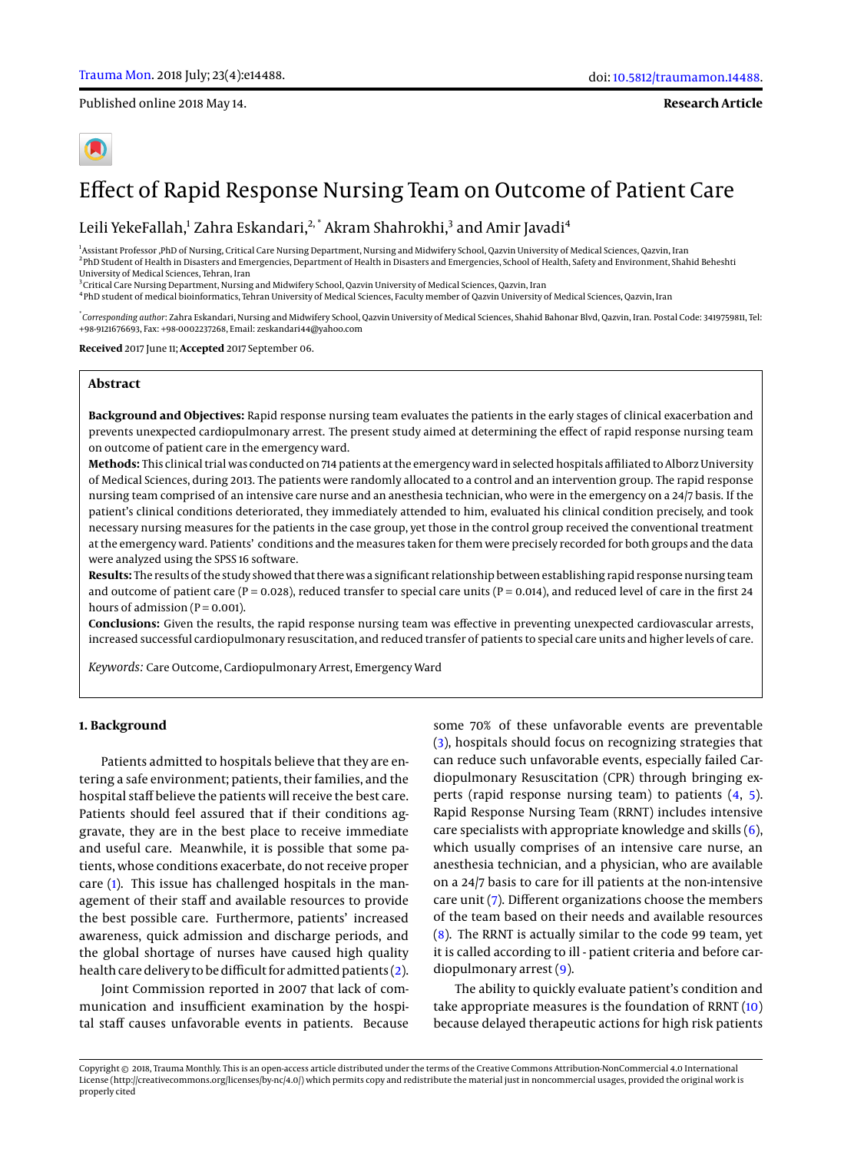Published online 2018 May 14.

**Research Article**

# Effect of Rapid Response Nursing Team on Outcome of Patient Care

Leili YekeFallah,<sup>1</sup> Zahra Eskandari,<sup>2,</sup>\* Akram Shahrokhi,<sup>3</sup> and Amir Javadi<sup>4</sup>

<sup>1</sup>Assistant Professor ,PhD of Nursing, Critical Care Nursing Department, Nursing and Midwifery School, Qazvin University of Medical Sciences, Qazvin, Iran 2 PhD Student of Health in Disasters and Emergencies, Department of Health in Disasters and Emergencies, School of Health, Safety and Environment, Shahid Beheshti University of Medical Sciences, Tehran, Iran

 $^3$ Critical Care Nursing Department, Nursing and Midwifery School, Qazvin University of Medical Sciences, Qazvin, Iran

4 PhD student of medical bioinformatics, Tehran University of Medical Sciences, Faculty member of Qazvin University of Medical Sciences, Qazvin, Iran

\* *Corresponding author*: Zahra Eskandari, Nursing and Midwifery School, Qazvin University of Medical Sciences, Shahid Bahonar Blvd, Qazvin, Iran. Postal Code: 3419759811, Tel: +98-9121676693, Fax: +98-0002237268, Email: zeskandari44@yahoo.com

**Received** 2017 June 11; **Accepted** 2017 September 06.

# **Abstract**

**Background and Objectives:** Rapid response nursing team evaluates the patients in the early stages of clinical exacerbation and prevents unexpected cardiopulmonary arrest. The present study aimed at determining the effect of rapid response nursing team on outcome of patient care in the emergency ward.

**Methods:** This clinical trial was conducted on 714 patients at the emergency ward in selected hospitals affiliated to Alborz University of Medical Sciences, during 2013. The patients were randomly allocated to a control and an intervention group. The rapid response nursing team comprised of an intensive care nurse and an anesthesia technician, who were in the emergency on a 24/7 basis. If the patient's clinical conditions deteriorated, they immediately attended to him, evaluated his clinical condition precisely, and took necessary nursing measures for the patients in the case group, yet those in the control group received the conventional treatment at the emergency ward. Patients' conditions and the measures taken for them were precisely recorded for both groups and the data were analyzed using the SPSS 16 software.

**Results:** The results of the study showed that there was a significant relationship between establishing rapid response nursing team and outcome of patient care ( $P = 0.028$ ), reduced transfer to special care units ( $P = 0.014$ ), and reduced level of care in the first 24 hours of admission  $(P = 0.001)$ .

**Conclusions:** Given the results, the rapid response nursing team was effective in preventing unexpected cardiovascular arrests, increased successful cardiopulmonary resuscitation, and reduced transfer of patients to special care units and higher levels of care.

*Keywords:* Care Outcome, Cardiopulmonary Arrest, Emergency Ward

### **1. Background**

Patients admitted to hospitals believe that they are entering a safe environment; patients, their families, and the hospital staff believe the patients will receive the best care. Patients should feel assured that if their conditions aggravate, they are in the best place to receive immediate and useful care. Meanwhile, it is possible that some patients, whose conditions exacerbate, do not receive proper care [\(1\)](#page-4-0). This issue has challenged hospitals in the management of their staff and available resources to provide the best possible care. Furthermore, patients' increased awareness, quick admission and discharge periods, and the global shortage of nurses have caused high quality health care delivery to be difficult for admitted patients [\(2\)](#page-4-1).

Joint Commission reported in 2007 that lack of communication and insufficient examination by the hospital staff causes unfavorable events in patients. Because

some 70% of these unfavorable events are preventable [\(3\)](#page-4-2), hospitals should focus on recognizing strategies that can reduce such unfavorable events, especially failed Cardiopulmonary Resuscitation (CPR) through bringing experts (rapid response nursing team) to patients [\(4,](#page-4-3) [5\)](#page-4-4). Rapid Response Nursing Team (RRNT) includes intensive care specialists with appropriate knowledge and skills [\(6\)](#page-4-5), which usually comprises of an intensive care nurse, an anesthesia technician, and a physician, who are available on a 24/7 basis to care for ill patients at the non-intensive care unit [\(7\)](#page-5-0). Different organizations choose the members of the team based on their needs and available resources [\(8\)](#page-5-1). The RRNT is actually similar to the code 99 team, yet it is called according to ill - patient criteria and before cardiopulmonary arrest [\(9\)](#page-5-2).

The ability to quickly evaluate patient's condition and take appropriate measures is the foundation of RRNT [\(10\)](#page-5-3) because delayed therapeutic actions for high risk patients

Copyright © 2018, Trauma Monthly. This is an open-access article distributed under the terms of the Creative Commons Attribution-NonCommercial 4.0 International License (http://creativecommons.org/licenses/by-nc/4.0/) which permits copy and redistribute the material just in noncommercial usages, provided the original work is properly cited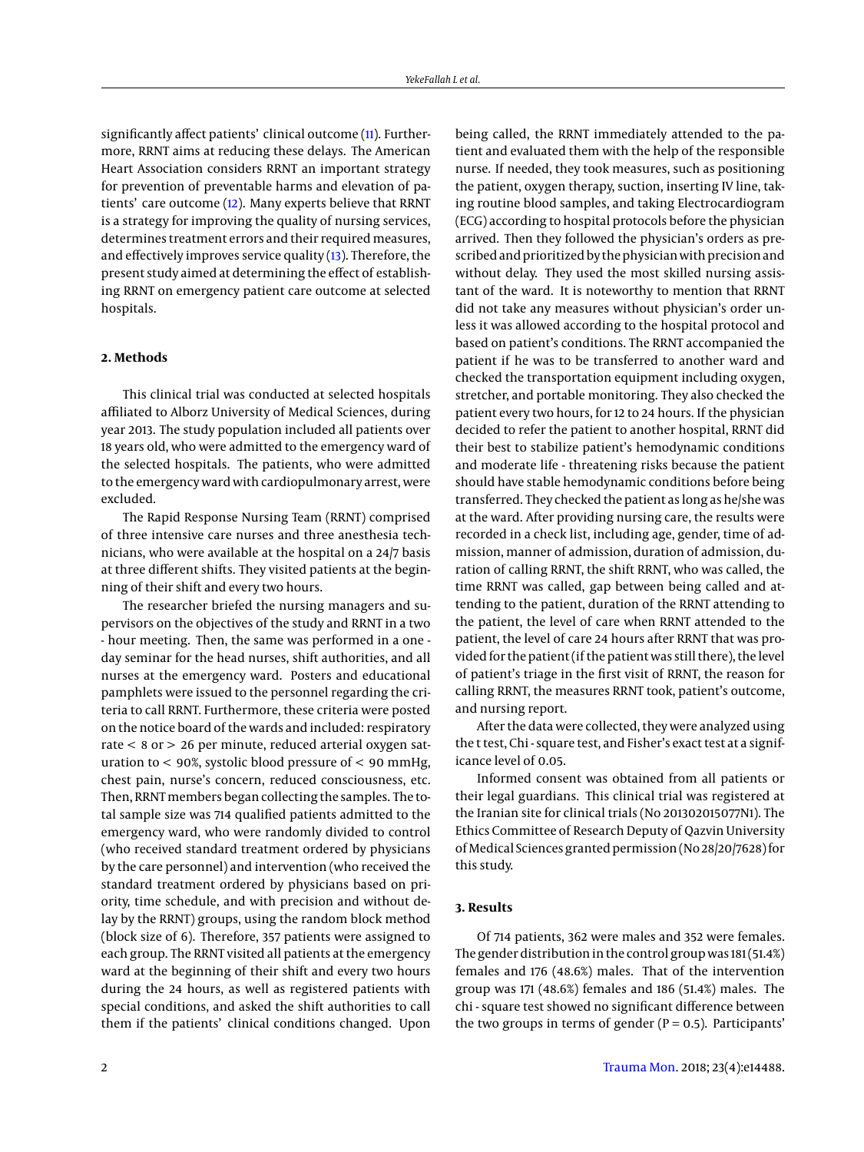significantly affect patients' clinical outcome [\(11\)](#page-5-4). Furthermore, RRNT aims at reducing these delays. The American Heart Association considers RRNT an important strategy for prevention of preventable harms and elevation of patients' care outcome [\(12\)](#page-5-5). Many experts believe that RRNT is a strategy for improving the quality of nursing services, determines treatment errors and their required measures, and effectively improves service quality [\(13\)](#page-5-6). Therefore, the present study aimed at determining the effect of establishing RRNT on emergency patient care outcome at selected hospitals.

# **2. Methods**

This clinical trial was conducted at selected hospitals affiliated to Alborz University of Medical Sciences, during year 2013. The study population included all patients over 18 years old, who were admitted to the emergency ward of the selected hospitals. The patients, who were admitted to the emergency ward with cardiopulmonary arrest, were excluded.

The Rapid Response Nursing Team (RRNT) comprised of three intensive care nurses and three anesthesia technicians, who were available at the hospital on a 24/7 basis at three different shifts. They visited patients at the beginning of their shift and every two hours.

The researcher briefed the nursing managers and supervisors on the objectives of the study and RRNT in a two - hour meeting. Then, the same was performed in a one day seminar for the head nurses, shift authorities, and all nurses at the emergency ward. Posters and educational pamphlets were issued to the personnel regarding the criteria to call RRNT. Furthermore, these criteria were posted on the notice board of the wards and included: respiratory rate < 8 or > 26 per minute, reduced arterial oxygen saturation to  $<$  90%, systolic blood pressure of  $<$  90 mmHg, chest pain, nurse's concern, reduced consciousness, etc. Then, RRNT members began collecting the samples. The total sample size was 714 qualified patients admitted to the emergency ward, who were randomly divided to control (who received standard treatment ordered by physicians by the care personnel) and intervention (who received the standard treatment ordered by physicians based on priority, time schedule, and with precision and without delay by the RRNT) groups, using the random block method (block size of 6). Therefore, 357 patients were assigned to each group. The RRNT visited all patients at the emergency ward at the beginning of their shift and every two hours during the 24 hours, as well as registered patients with special conditions, and asked the shift authorities to call them if the patients' clinical conditions changed. Upon

being called, the RRNT immediately attended to the patient and evaluated them with the help of the responsible nurse. If needed, they took measures, such as positioning the patient, oxygen therapy, suction, inserting IV line, taking routine blood samples, and taking Electrocardiogram (ECG) according to hospital protocols before the physician arrived. Then they followed the physician's orders as prescribed and prioritized by the physician with precision and without delay. They used the most skilled nursing assistant of the ward. It is noteworthy to mention that RRNT did not take any measures without physician's order unless it was allowed according to the hospital protocol and based on patient's conditions. The RRNT accompanied the patient if he was to be transferred to another ward and checked the transportation equipment including oxygen, stretcher, and portable monitoring. They also checked the patient every two hours, for 12 to 24 hours. If the physician decided to refer the patient to another hospital, RRNT did their best to stabilize patient's hemodynamic conditions and moderate life - threatening risks because the patient should have stable hemodynamic conditions before being transferred. They checked the patient as long as he/she was at the ward. After providing nursing care, the results were recorded in a check list, including age, gender, time of admission, manner of admission, duration of admission, duration of calling RRNT, the shift RRNT, who was called, the time RRNT was called, gap between being called and attending to the patient, duration of the RRNT attending to the patient, the level of care when RRNT attended to the patient, the level of care 24 hours after RRNT that was provided for the patient (if the patient was still there), the level of patient's triage in the first visit of RRNT, the reason for calling RRNT, the measures RRNT took, patient's outcome, and nursing report.

After the data were collected, they were analyzed using the t test, Chi - square test, and Fisher's exact test at a significance level of 0.05.

Informed consent was obtained from all patients or their legal guardians. This clinical trial was registered at the Iranian site for clinical trials (No 201302015077N1). The Ethics Committee of Research Deputy of Qazvin University of Medical Sciences granted permission (No 28/20/7628) for this study.

# **3. Results**

Of 714 patients, 362 were males and 352 were females. The gender distribution in the control group was 181 (51.4%) females and 176 (48.6%) males. That of the intervention group was 171 (48.6%) females and 186 (51.4%) males. The chi - square test showed no significant difference between the two groups in terms of gender ( $P = 0.5$ ). Participants'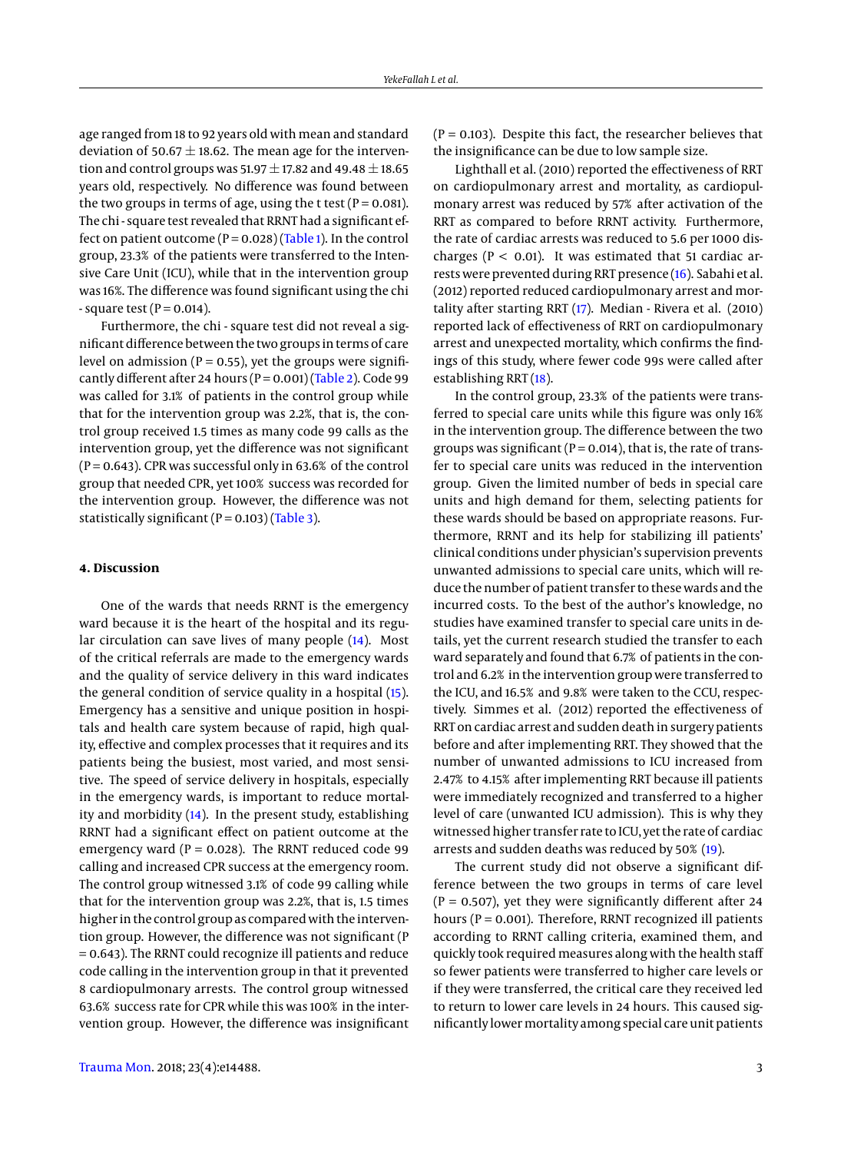age ranged from 18 to 92 years old with mean and standard deviation of 50.67  $\pm$  18.62. The mean age for the intervention and control groups was 51.97  $\pm$  17.82 and 49.48  $\pm$  18.65 years old, respectively. No difference was found between the two groups in terms of age, using the t test ( $P = 0.081$ ). The chi - square test revealed that RRNT had a significant effect on patient outcome ( $P = 0.028$ ) [\(Table 1\)](#page-3-0). In the control group, 23.3% of the patients were transferred to the Intensive Care Unit (ICU), while that in the intervention group was 16%. The difference was found significant using the chi - square test ( $P = 0.014$ ).

Furthermore, the chi - square test did not reveal a significant difference between the two groups in terms of care level on admission ( $P = 0.55$ ), yet the groups were significantly different after 24 hours ( $P = 0.001$ ) [\(Table 2\)](#page-3-1). Code 99 was called for 3.1% of patients in the control group while that for the intervention group was 2.2%, that is, the control group received 1.5 times as many code 99 calls as the intervention group, yet the difference was not significant  $(P = 0.643)$ . CPR was successful only in 63.6% of the control group that needed CPR, yet 100% success was recorded for the intervention group. However, the difference was not statistically significant ( $P = 0.103$ ) [\(Table 3\)](#page-4-6).

#### **4. Discussion**

One of the wards that needs RRNT is the emergency ward because it is the heart of the hospital and its regular circulation can save lives of many people [\(14\)](#page-5-7). Most of the critical referrals are made to the emergency wards and the quality of service delivery in this ward indicates the general condition of service quality in a hospital [\(15\)](#page-5-8). Emergency has a sensitive and unique position in hospitals and health care system because of rapid, high quality, effective and complex processes that it requires and its patients being the busiest, most varied, and most sensitive. The speed of service delivery in hospitals, especially in the emergency wards, is important to reduce mortality and morbidity [\(14\)](#page-5-7). In the present study, establishing RRNT had a significant effect on patient outcome at the emergency ward ( $P = 0.028$ ). The RRNT reduced code 99 calling and increased CPR success at the emergency room. The control group witnessed 3.1% of code 99 calling while that for the intervention group was 2.2%, that is, 1.5 times higher in the control group as compared with the intervention group. However, the difference was not significant (P = 0.643). The RRNT could recognize ill patients and reduce code calling in the intervention group in that it prevented 8 cardiopulmonary arrests. The control group witnessed 63.6% success rate for CPR while this was 100% in the intervention group. However, the difference was insignificant

 $(P = 0.103)$ . Despite this fact, the researcher believes that the insignificance can be due to low sample size.

Lighthall et al. (2010) reported the effectiveness of RRT on cardiopulmonary arrest and mortality, as cardiopulmonary arrest was reduced by 57% after activation of the RRT as compared to before RRNT activity. Furthermore, the rate of cardiac arrests was reduced to 5.6 per 1000 discharges ( $P < 0.01$ ). It was estimated that 51 cardiac arrests were prevented during RRT presence [\(16\)](#page-5-9). Sabahi et al. (2012) reported reduced cardiopulmonary arrest and mortality after starting RRT [\(17\)](#page-5-10). Median - Rivera et al. (2010) reported lack of effectiveness of RRT on cardiopulmonary arrest and unexpected mortality, which confirms the findings of this study, where fewer code 99s were called after establishing RRT [\(18\)](#page-5-11).

In the control group, 23.3% of the patients were transferred to special care units while this figure was only 16% in the intervention group. The difference between the two groups was significant ( $P = 0.014$ ), that is, the rate of transfer to special care units was reduced in the intervention group. Given the limited number of beds in special care units and high demand for them, selecting patients for these wards should be based on appropriate reasons. Furthermore, RRNT and its help for stabilizing ill patients' clinical conditions under physician's supervision prevents unwanted admissions to special care units, which will reduce the number of patient transfer to these wards and the incurred costs. To the best of the author's knowledge, no studies have examined transfer to special care units in details, yet the current research studied the transfer to each ward separately and found that 6.7% of patients in the control and 6.2% in the intervention group were transferred to the ICU, and 16.5% and 9.8% were taken to the CCU, respectively. Simmes et al. (2012) reported the effectiveness of RRT on cardiac arrest and sudden death in surgery patients before and after implementing RRT. They showed that the number of unwanted admissions to ICU increased from 2.47% to 4.15% after implementing RRT because ill patients were immediately recognized and transferred to a higher level of care (unwanted ICU admission). This is why they witnessed higher transfer rate to ICU, yet the rate of cardiac arrests and sudden deaths was reduced by 50% [\(19\)](#page-5-12).

The current study did not observe a significant difference between the two groups in terms of care level  $(P = 0.507)$ , yet they were significantly different after 24 hours ( $P = 0.001$ ). Therefore, RRNT recognized ill patients according to RRNT calling criteria, examined them, and quickly took required measures along with the health staff so fewer patients were transferred to higher care levels or if they were transferred, the critical care they received led to return to lower care levels in 24 hours. This caused significantly lowermortality among special care unit patients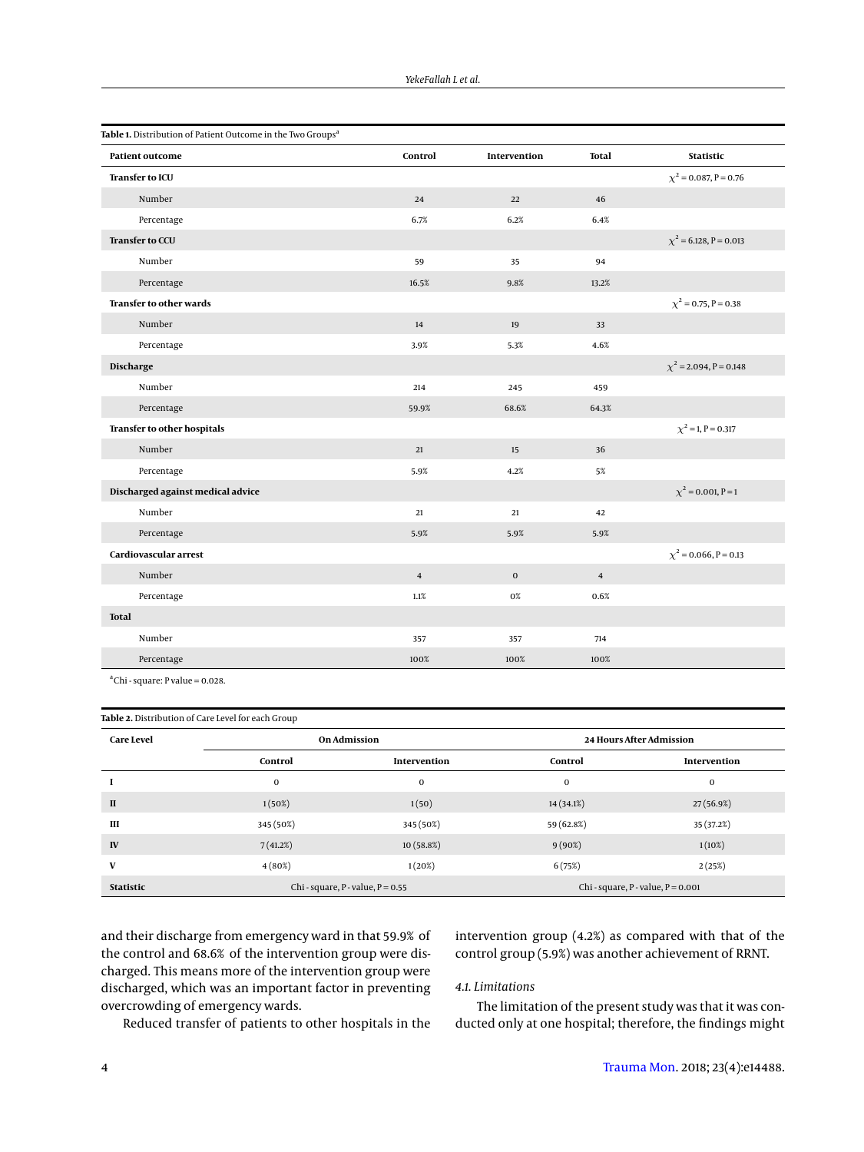<span id="page-3-0"></span>

| Table 1. Distribution of Patient Outcome in the Two Groups <sup>a</sup> |                |              |              |                             |
|-------------------------------------------------------------------------|----------------|--------------|--------------|-----------------------------|
| <b>Patient outcome</b>                                                  | Control        | Intervention | <b>Total</b> | <b>Statistic</b>            |
| <b>Transfer to ICU</b>                                                  |                |              |              | $\chi^2$ = 0.087, P = 0.76  |
| Number                                                                  | 24             | 22           | 46           |                             |
| Percentage                                                              | 6.7%           | 6.2%         | 6.4%         |                             |
| <b>Transfer to CCU</b>                                                  |                |              |              | $\chi^2$ = 6.128, P = 0.013 |
| Number                                                                  | 59             | 35           | 94           |                             |
| Percentage                                                              | 16.5%          | 9.8%         | 13.2%        |                             |
| <b>Transfer to other wards</b>                                          |                |              |              | $\chi^2$ = 0.75, P = 0.38   |
| Number                                                                  | 14             | 19           | 33           |                             |
| Percentage                                                              | 3.9%           | 5.3%         | 4.6%         |                             |
| Discharge                                                               |                |              |              | $\chi^2$ = 2.094, P = 0.148 |
| Number                                                                  | 214            | 245          | 459          |                             |
| Percentage                                                              | 59.9%          | 68.6%        | 64.3%        |                             |
| Transfer to other hospitals                                             |                |              |              | $\chi^2$ = 1, P = 0.317     |
| Number                                                                  | 21             | 15           | 36           |                             |
| Percentage                                                              | 5.9%           | 4.2%         | 5%           |                             |
| Discharged against medical advice                                       |                |              |              | $\chi^2$ = 0.001, P = 1     |
| Number                                                                  | 21             | 21           | 42           |                             |
| Percentage                                                              | 5.9%           | 5.9%         | 5.9%         |                             |
| Cardiovascular arrest                                                   |                |              |              | $\chi^2$ = 0.066, P = 0.13  |
| Number                                                                  | $\overline{4}$ | $\mathbf{0}$ | $\bf{4}$     |                             |
| Percentage                                                              | $1.1\%$        | $0\%$        | 0.6%         |                             |
| <b>Total</b>                                                            |                |              |              |                             |
| Number                                                                  | 357            | 357          | 714          |                             |
| Percentage                                                              | 100%           | 100%         | 100%         |                             |

 $\text{a}^{\text{a}}$ Chi - square: P value = 0.028.

<span id="page-3-1"></span>

| Table 2. Distribution of Care Level for each Group |                                       |              |                                        |              |  |
|----------------------------------------------------|---------------------------------------|--------------|----------------------------------------|--------------|--|
| <b>Care Level</b>                                  | <b>On Admission</b>                   |              | <b>24 Hours After Admission</b>        |              |  |
|                                                    | Control                               | Intervention | Control                                | Intervention |  |
|                                                    | $\mathbf{0}$                          | $\mathbf{0}$ | $\mathbf 0$                            | $\mathbf{0}$ |  |
| $\mathbf{I}$                                       | 1(50%)                                | 1(50)        | 14 (34.1%)                             | 27(56.9%)    |  |
| Ш                                                  | 345 (50%)                             | 345 (50%)    | 59 (62.8%)                             | 35 (37.2%)   |  |
| IV                                                 | 7(41.2%)                              | 10(58.8%)    | 9(90%)                                 | 1(10%)       |  |
| V                                                  | 4(80%)                                | 1(20%)       | 6(75%)                                 | 2(25%)       |  |
| <b>Statistic</b>                                   | Chi - square, $P$ - value, $P = 0.55$ |              | Chi - square, $P$ - value, $P = 0.001$ |              |  |

and their discharge from emergency ward in that 59.9% of the control and 68.6% of the intervention group were discharged. This means more of the intervention group were discharged, which was an important factor in preventing overcrowding of emergency wards.

intervention group (4.2%) as compared with that of the control group (5.9%) was another achievement of RRNT.

# *4.1. Limitations*

The limitation of the present study was that it was conducted only at one hospital; therefore, the findings might

Reduced transfer of patients to other hospitals in the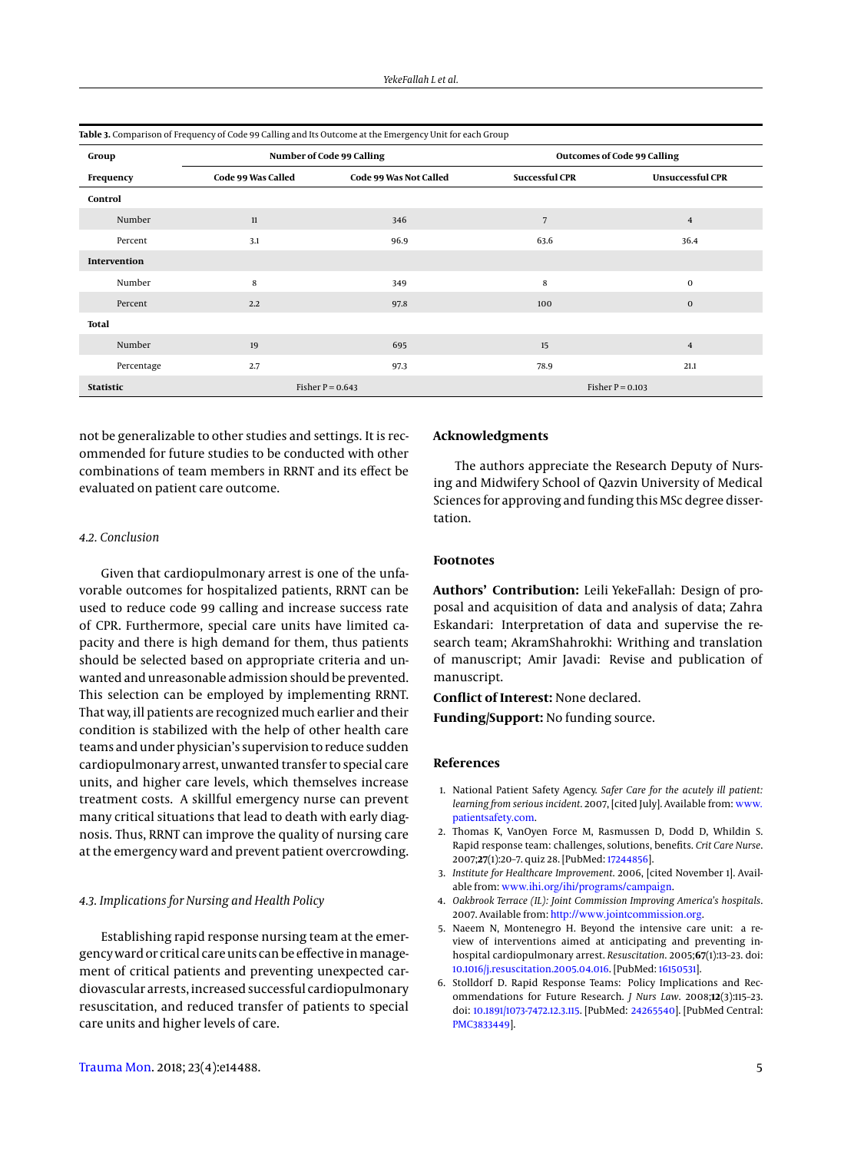<span id="page-4-6"></span>

| Group            |                    | Number of Code 99 Calling |                       | <b>Outcomes of Code 99 Calling</b> |  |  |
|------------------|--------------------|---------------------------|-----------------------|------------------------------------|--|--|
| Frequency        | Code 99 Was Called | Code 99 Was Not Called    | <b>Successful CPR</b> | <b>Unsuccessful CPR</b>            |  |  |
| Control          |                    |                           |                       |                                    |  |  |
| Number           | 11                 | 346                       | 7                     | $\overline{4}$                     |  |  |
| Percent          | 3.1                | 96.9                      | 63.6                  | 36.4                               |  |  |
| Intervention     |                    |                           |                       |                                    |  |  |
| Number           | 8                  | 349                       | 8                     | 0                                  |  |  |
| Percent          | 2.2                | 97.8                      | 100                   | $\bf{0}$                           |  |  |
| Total            |                    |                           |                       |                                    |  |  |
| Number           | 19                 | 695                       | 15                    | $\overline{4}$                     |  |  |
| Percentage       | 2.7                | 97.3                      | 78.9                  | 21.1                               |  |  |
| <b>Statistic</b> | Fisher $P = 0.643$ |                           | Fisher $P = 0.103$    |                                    |  |  |

not be generalizable to other studies and settings. It is recommended for future studies to be conducted with other combinations of team members in RRNT and its effect be evaluated on patient care outcome.

### *4.2. Conclusion*

Given that cardiopulmonary arrest is one of the unfavorable outcomes for hospitalized patients, RRNT can be used to reduce code 99 calling and increase success rate of CPR. Furthermore, special care units have limited capacity and there is high demand for them, thus patients should be selected based on appropriate criteria and unwanted and unreasonable admission should be prevented. This selection can be employed by implementing RRNT. That way, ill patients are recognized much earlier and their condition is stabilized with the help of other health care teams and under physician's supervision to reduce sudden cardiopulmonary arrest, unwanted transfer to special care units, and higher care levels, which themselves increase treatment costs. A skillful emergency nurse can prevent many critical situations that lead to death with early diagnosis. Thus, RRNT can improve the quality of nursing care at the emergency ward and prevent patient overcrowding.

## *4.3. Implications for Nursing and Health Policy*

Establishing rapid response nursing team at the emergency ward or critical care units can be effective inmanagement of critical patients and preventing unexpected cardiovascular arrests, increased successful cardiopulmonary resuscitation, and reduced transfer of patients to special care units and higher levels of care.

# **Acknowledgments**

The authors appreciate the Research Deputy of Nursing and Midwifery School of Qazvin University of Medical Sciences for approving and funding this MSc degree dissertation.

#### **Footnotes**

**Authors' Contribution:** Leili YekeFallah: Design of proposal and acquisition of data and analysis of data; Zahra Eskandari: Interpretation of data and supervise the research team; AkramShahrokhi: Writhing and translation of manuscript; Amir Javadi: Revise and publication of manuscript.

**Conflict of Interest:** None declared.

**Funding/Support:** No funding source.

#### **References**

- <span id="page-4-0"></span>1. National Patient Safety Agency. *Safer Care for the acutely ill patient: learning from serious incident*. 2007, [cited July]. Available from: [www.](www.patientsafety.com) [patientsafety.com](www.patientsafety.com).
- <span id="page-4-1"></span>2. Thomas K, VanOyen Force M, Rasmussen D, Dodd D, Whildin S. Rapid response team: challenges, solutions, benefits. *Crit Care Nurse*. 2007;**27**(1):20–7. quiz 28. [PubMed: [17244856\]](http://www.ncbi.nlm.nih.gov/pubmed/17244856).
- <span id="page-4-2"></span>3. *Institute for Healthcare Improvement*. 2006, [cited November 1]. Available from: <www.ihi.org/ihi/programs/campaign>.
- <span id="page-4-3"></span>4. *Oakbrook Terrace (IL): Joint Commission Improving America's hospitals*. 2007. Available from: <http://www.jointcommission.org>.
- <span id="page-4-4"></span>5. Naeem N, Montenegro H. Beyond the intensive care unit: a review of interventions aimed at anticipating and preventing inhospital cardiopulmonary arrest. *Resuscitation*. 2005;**67**(1):13–23. doi: [10.1016/j.resuscitation.2005.04.016.](http://dx.doi.org/10.1016/j.resuscitation.2005.04.016) [PubMed: [16150531\]](http://www.ncbi.nlm.nih.gov/pubmed/16150531).
- <span id="page-4-5"></span>6. Stolldorf D. Rapid Response Teams: Policy Implications and Recommendations for Future Research. *J Nurs Law*. 2008;**12**(3):115–23. doi: [10.1891/1073-7472.12.3.115.](http://dx.doi.org/10.1891/1073-7472.12.3.115) [PubMed: [24265540\]](http://www.ncbi.nlm.nih.gov/pubmed/24265540). [PubMed Central: [PMC3833449\]](https://www.ncbi.nlm.nih.gov/pmc/articles/PMC3833449).